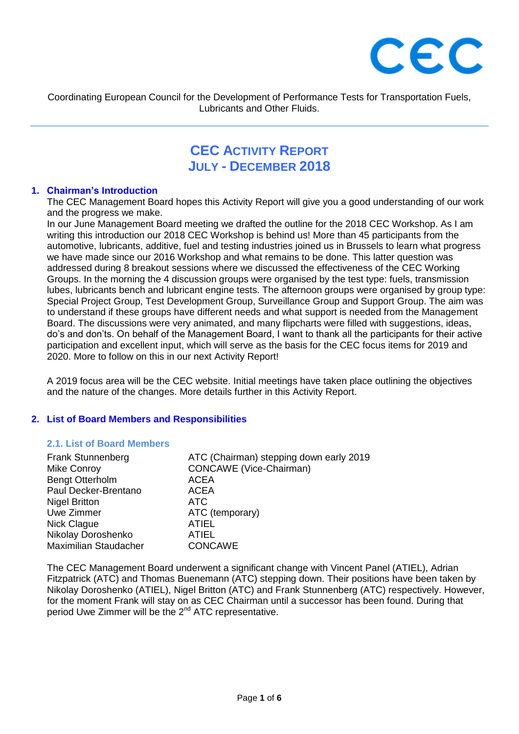

Coordinating European Council for the Development of Performance Tests for Transportation Fuels, Lubricants and Other Fluids.

# **CEC ACTIVITY REPORT JULY - DECEMBER 2018**

#### **1. Chairman's Introduction**

The CEC Management Board hopes this Activity Report will give you a good understanding of our work and the progress we make.

In our June Management Board meeting we drafted the outline for the 2018 CEC Workshop. As I am writing this introduction our 2018 CEC Workshop is behind us! More than 45 participants from the automotive, lubricants, additive, fuel and testing industries joined us in Brussels to learn what progress we have made since our 2016 Workshop and what remains to be done. This latter question was addressed during 8 breakout sessions where we discussed the effectiveness of the CEC Working Groups. In the morning the 4 discussion groups were organised by the test type: fuels, transmission lubes, lubricants bench and lubricant engine tests. The afternoon groups were organised by group type: Special Project Group, Test Development Group, Surveillance Group and Support Group. The aim was to understand if these groups have different needs and what support is needed from the Management Board. The discussions were very animated, and many flipcharts were filled with suggestions, ideas, do's and don'ts. On behalf of the Management Board, I want to thank all the participants for their active participation and excellent input, which will serve as the basis for the CEC focus items for 2019 and 2020. More to follow on this in our next Activity Report!

A 2019 focus area will be the CEC website. Initial meetings have taken place outlining the objectives and the nature of the changes. More details further in this Activity Report.

#### **2. List of Board Members and Responsibilities**

#### **2.1. List of Board Members**

| <b>Frank Stunnenberg</b> | ATC (Chairman) stepping down early 2019 |
|--------------------------|-----------------------------------------|
| <b>Mike Conroy</b>       | <b>CONCAWE</b> (Vice-Chairman)          |
| <b>Bengt Otterholm</b>   | <b>ACEA</b>                             |
| Paul Decker-Brentano     | <b>ACEA</b>                             |
| <b>Nigel Britton</b>     | <b>ATC</b>                              |
| Uwe Zimmer               | ATC (temporary)                         |
| Nick Clague              | <b>ATIEL</b>                            |
| Nikolay Doroshenko       | <b>ATIEL</b>                            |
| Maximilian Staudacher    | <b>CONCAWE</b>                          |

The CEC Management Board underwent a significant change with Vincent Panel (ATIEL), Adrian Fitzpatrick (ATC) and Thomas Buenemann (ATC) stepping down. Their positions have been taken by Nikolay Doroshenko (ATIEL), Nigel Britton (ATC) and Frank Stunnenberg (ATC) respectively. However, for the moment Frank will stay on as CEC Chairman until a successor has been found. During that period Uwe Zimmer will be the 2<sup>nd</sup> ATC representative.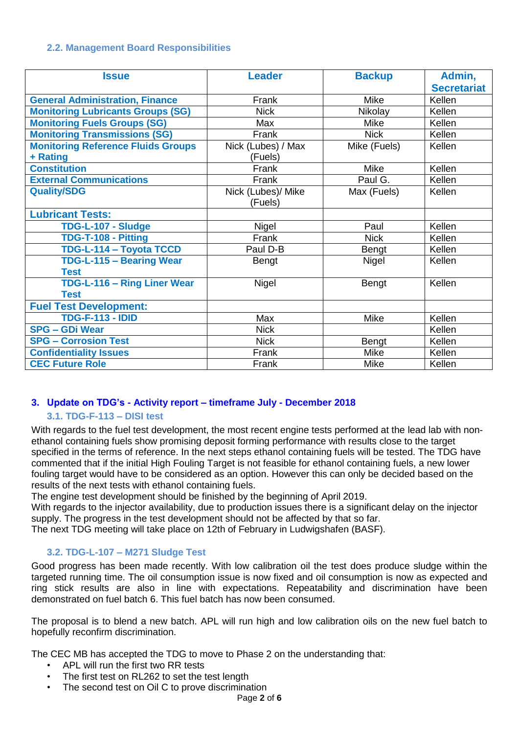# **2.2. Management Board Responsibilities**

| <b>Issue</b>                              | <b>Leader</b>      | <b>Backup</b> | Admin,             |
|-------------------------------------------|--------------------|---------------|--------------------|
|                                           |                    |               | <b>Secretariat</b> |
| <b>General Administration, Finance</b>    | Frank              | <b>Mike</b>   | Kellen             |
| <b>Monitoring Lubricants Groups (SG)</b>  | <b>Nick</b>        | Nikolay       | Kellen             |
| <b>Monitoring Fuels Groups (SG)</b>       | Max                | <b>Mike</b>   | Kellen             |
| <b>Monitoring Transmissions (SG)</b>      | Frank              | <b>Nick</b>   | Kellen             |
| <b>Monitoring Reference Fluids Groups</b> | Nick (Lubes) / Max | Mike (Fuels)  | Kellen             |
| + Rating                                  | (Fuels)            |               |                    |
| <b>Constitution</b>                       | Frank              | Mike          | Kellen             |
| <b>External Communications</b>            | Frank              | Paul G.       | Kellen             |
| <b>Quality/SDG</b>                        | Nick (Lubes)/ Mike | Max (Fuels)   | Kellen             |
|                                           | (Fuels)            |               |                    |
| <b>Lubricant Tests:</b>                   |                    |               |                    |
| TDG-L-107 - Sludge                        | Nigel              | Paul          | Kellen             |
| TDG-T-108 - Pitting                       | Frank              | <b>Nick</b>   | Kellen             |
| TDG-L-114 - Toyota TCCD                   | Paul D-B           | <b>Bengt</b>  | Kellen             |
| TDG-L-115 - Bearing Wear                  | <b>Bengt</b>       | Nigel         | Kellen             |
| <b>Test</b>                               |                    |               |                    |
| TDG-L-116 - Ring Liner Wear               | Nigel              | <b>Bengt</b>  | Kellen             |
| <b>Test</b>                               |                    |               |                    |
| <b>Fuel Test Development:</b>             |                    |               |                    |
| <b>TDG-F-113 - IDID</b>                   | Max                | Mike          | Kellen             |
| <b>SPG - GDi Wear</b>                     | <b>Nick</b>        |               | Kellen             |
| <b>SPG - Corrosion Test</b>               | <b>Nick</b>        | Bengt         | Kellen             |
| <b>Confidentiality Issues</b>             | Frank              | Mike          | Kellen             |
| <b>CEC Future Role</b>                    | Frank              | Mike          | Kellen             |

# **3. Update on TDG's - Activity report – timeframe July - December 2018**

# **3.1. TDG-F-113 – DISI test**

With regards to the fuel test development, the most recent engine tests performed at the lead lab with nonethanol containing fuels show promising deposit forming performance with results close to the target specified in the terms of reference. In the next steps ethanol containing fuels will be tested. The TDG have commented that if the initial High Fouling Target is not feasible for ethanol containing fuels, a new lower fouling target would have to be considered as an option. However this can only be decided based on the results of the next tests with ethanol containing fuels.

The engine test development should be finished by the beginning of April 2019.

With regards to the injector availability, due to production issues there is a significant delay on the injector supply. The progress in the test development should not be affected by that so far.

The next TDG meeting will take place on 12th of February in Ludwigshafen (BASF).

# **3.2. TDG-L-107 – M271 Sludge Test**

Good progress has been made recently. With low calibration oil the test does produce sludge within the targeted running time. The oil consumption issue is now fixed and oil consumption is now as expected and ring stick results are also in line with expectations. Repeatability and discrimination have been demonstrated on fuel batch 6. This fuel batch has now been consumed.

The proposal is to blend a new batch. APL will run high and low calibration oils on the new fuel batch to hopefully reconfirm discrimination.

The CEC MB has accepted the TDG to move to Phase 2 on the understanding that:

- APL will run the first two RR tests
- The first test on RL262 to set the test length
- The second test on Oil C to prove discrimination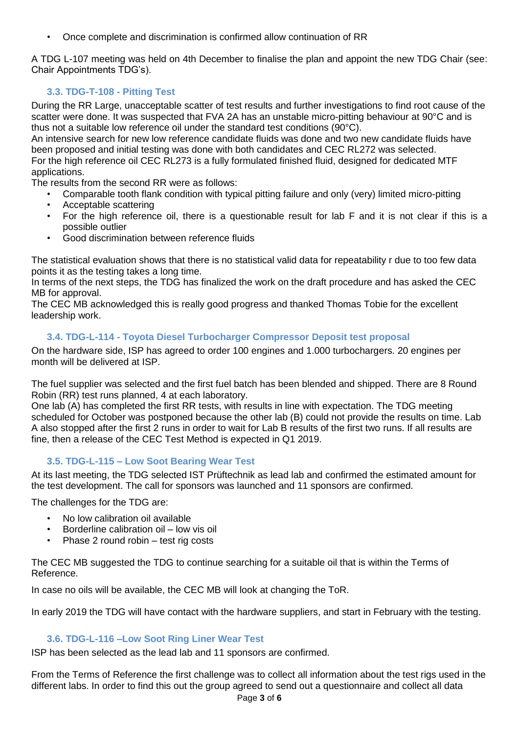• Once complete and discrimination is confirmed allow continuation of RR

A TDG L-107 meeting was held on 4th December to finalise the plan and appoint the new TDG Chair (see: Chair Appointments TDG's).

# **3.3. TDG-T-108 - Pitting Test**

During the RR Large, unacceptable scatter of test results and further investigations to find root cause of the scatter were done. It was suspected that FVA 2A has an unstable micro-pitting behaviour at 90°C and is thus not a suitable low reference oil under the standard test conditions (90°C).

An intensive search for new low reference candidate fluids was done and two new candidate fluids have been proposed and initial testing was done with both candidates and CEC RL272 was selected. For the high reference oil CEC RL273 is a fully formulated finished fluid, designed for dedicated MTF applications.

The results from the second RR were as follows:

- Comparable tooth flank condition with typical pitting failure and only (very) limited micro-pitting
- Acceptable scattering
- For the high reference oil, there is a questionable result for lab F and it is not clear if this is a possible outlier
- Good discrimination between reference fluids

The statistical evaluation shows that there is no statistical valid data for repeatability r due to too few data points it as the testing takes a long time.

In terms of the next steps, the TDG has finalized the work on the draft procedure and has asked the CEC MB for approval.

The CEC MB acknowledged this is really good progress and thanked Thomas Tobie for the excellent leadership work.

### **3.4. TDG-L-114 - Toyota Diesel Turbocharger Compressor Deposit test proposal**

On the hardware side, ISP has agreed to order 100 engines and 1.000 turbochargers. 20 engines per month will be delivered at ISP.

The fuel supplier was selected and the first fuel batch has been blended and shipped. There are 8 Round Robin (RR) test runs planned, 4 at each laboratory.

One lab (A) has completed the first RR tests, with results in line with expectation. The TDG meeting scheduled for October was postponed because the other lab (B) could not provide the results on time. Lab A also stopped after the first 2 runs in order to wait for Lab B results of the first two runs. If all results are fine, then a release of the CEC Test Method is expected in Q1 2019.

# **3.5. TDG-L-115 – Low Soot Bearing Wear Test**

At its last meeting, the TDG selected IST Prüftechnik as lead lab and confirmed the estimated amount for the test development. The call for sponsors was launched and 11 sponsors are confirmed.

The challenges for the TDG are:

- No low calibration oil available
- Borderline calibration oil low vis oil
- Phase 2 round robin test rig costs

The CEC MB suggested the TDG to continue searching for a suitable oil that is within the Terms of Reference.

In case no oils will be available, the CEC MB will look at changing the ToR.

In early 2019 the TDG will have contact with the hardware suppliers, and start in February with the testing.

### **3.6. TDG-L-116 –Low Soot Ring Liner Wear Test**

ISP has been selected as the lead lab and 11 sponsors are confirmed.

From the Terms of Reference the first challenge was to collect all information about the test rigs used in the different labs. In order to find this out the group agreed to send out a questionnaire and collect all data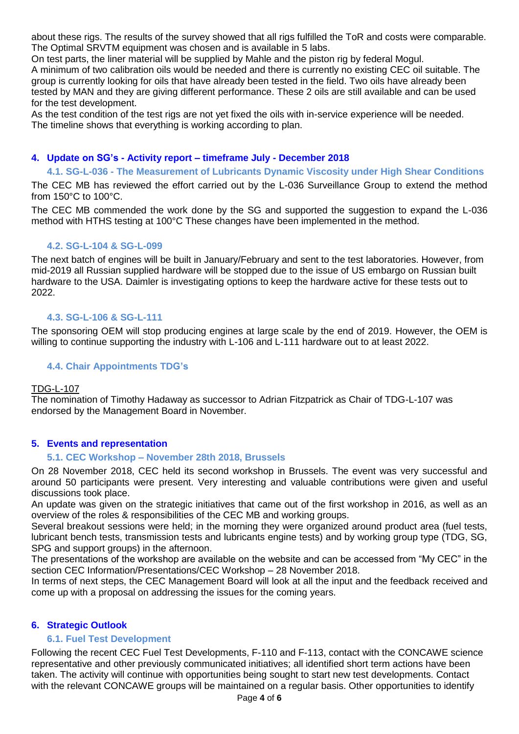about these rigs. The results of the survey showed that all rigs fulfilled the ToR and costs were comparable. The Optimal SRVTM equipment was chosen and is available in 5 labs.

On test parts, the liner material will be supplied by Mahle and the piston rig by federal Mogul. A minimum of two calibration oils would be needed and there is currently no existing CEC oil suitable. The group is currently looking for oils that have already been tested in the field. Two oils have already been tested by MAN and they are giving different performance. These 2 oils are still available and can be used for the test development.

As the test condition of the test rigs are not yet fixed the oils with in-service experience will be needed. The timeline shows that everything is working according to plan.

### **4. Update on SG's - Activity report – timeframe July - December 2018**

#### **4.1. SG-L-036 - The Measurement of Lubricants Dynamic Viscosity under High Shear Conditions**

The CEC MB has reviewed the effort carried out by the L-036 Surveillance Group to extend the method from 150°C to 100°C.

The CEC MB commended the work done by the SG and supported the suggestion to expand the L-036 method with HTHS testing at 100°C These changes have been implemented in the method.

#### **4.2. SG-L-104 & SG-L-099**

The next batch of engines will be built in January/February and sent to the test laboratories. However, from mid-2019 all Russian supplied hardware will be stopped due to the issue of US embargo on Russian built hardware to the USA. Daimler is investigating options to keep the hardware active for these tests out to 2022.

#### **4.3. SG-L-106 & SG-L-111**

The sponsoring OEM will stop producing engines at large scale by the end of 2019. However, the OEM is willing to continue supporting the industry with L-106 and L-111 hardware out to at least 2022.

### **4.4. Chair Appointments TDG's**

#### TDG-L-107

The nomination of Timothy Hadaway as successor to Adrian Fitzpatrick as Chair of TDG-L-107 was endorsed by the Management Board in November.

#### **5. Events and representation**

#### **5.1. CEC Workshop – November 28th 2018, Brussels**

On 28 November 2018, CEC held its second workshop in Brussels. The event was very successful and around 50 participants were present. Very interesting and valuable contributions were given and useful discussions took place.

An update was given on the strategic initiatives that came out of the first workshop in 2016, as well as an overview of the roles & responsibilities of the CEC MB and working groups.

Several breakout sessions were held; in the morning they were organized around product area (fuel tests, lubricant bench tests, transmission tests and lubricants engine tests) and by working group type (TDG, SG, SPG and support groups) in the afternoon.

The presentations of the workshop are available on the website and can be accessed from "My CEC" in the section CEC Information/Presentations/CEC Workshop – 28 November 2018.

In terms of next steps, the CEC Management Board will look at all the input and the feedback received and come up with a proposal on addressing the issues for the coming years.

#### **6. Strategic Outlook**

#### **6.1. Fuel Test Development**

Following the recent CEC Fuel Test Developments, F-110 and F-113, contact with the CONCAWE science representative and other previously communicated initiatives; all identified short term actions have been taken. The activity will continue with opportunities being sought to start new test developments. Contact with the relevant CONCAWE groups will be maintained on a regular basis. Other opportunities to identify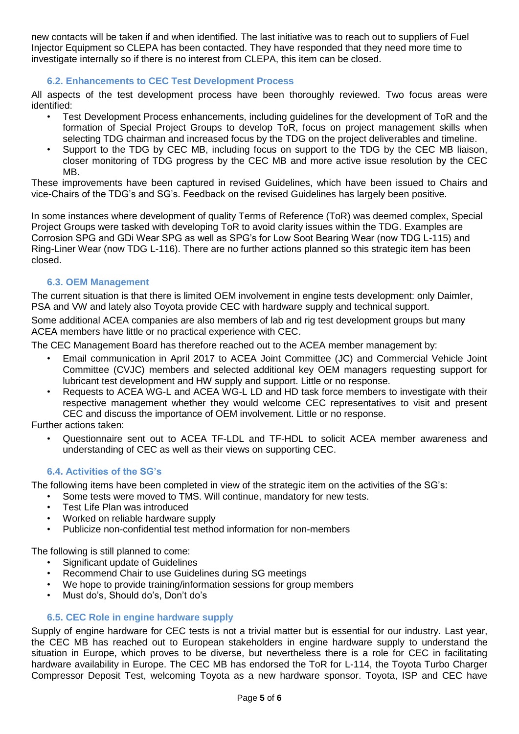new contacts will be taken if and when identified. The last initiative was to reach out to suppliers of Fuel Injector Equipment so CLEPA has been contacted. They have responded that they need more time to investigate internally so if there is no interest from CLEPA, this item can be closed.

### **6.2. Enhancements to CEC Test Development Process**

All aspects of the test development process have been thoroughly reviewed. Two focus areas were identified:

- Test Development Process enhancements, including guidelines for the development of ToR and the formation of Special Project Groups to develop ToR, focus on project management skills when selecting TDG chairman and increased focus by the TDG on the project deliverables and timeline.
- Support to the TDG by CEC MB, including focus on support to the TDG by the CEC MB liaison, closer monitoring of TDG progress by the CEC MB and more active issue resolution by the CEC MB.

These improvements have been captured in revised Guidelines, which have been issued to Chairs and vice-Chairs of the TDG's and SG's. Feedback on the revised Guidelines has largely been positive.

In some instances where development of quality Terms of Reference (ToR) was deemed complex, Special Project Groups were tasked with developing ToR to avoid clarity issues within the TDG. Examples are Corrosion SPG and GDi Wear SPG as well as SPG's for Low Soot Bearing Wear (now TDG L-115) and Ring-Liner Wear (now TDG L-116). There are no further actions planned so this strategic item has been closed.

# **6.3. OEM Management**

The current situation is that there is limited OEM involvement in engine tests development: only Daimler, PSA and VW and lately also Toyota provide CEC with hardware supply and technical support.

Some additional ACEA companies are also members of lab and rig test development groups but many ACEA members have little or no practical experience with CEC.

The CEC Management Board has therefore reached out to the ACEA member management by:

- Email communication in April 2017 to ACEA Joint Committee (JC) and Commercial Vehicle Joint Committee (CVJC) members and selected additional key OEM managers requesting support for lubricant test development and HW supply and support. Little or no response.
- Requests to ACEA WG-L and ACEA WG-L LD and HD task force members to investigate with their respective management whether they would welcome CEC representatives to visit and present CEC and discuss the importance of OEM involvement. Little or no response.

Further actions taken:

• Questionnaire sent out to ACEA TF-LDL and TF-HDL to solicit ACEA member awareness and understanding of CEC as well as their views on supporting CEC.

### **6.4. Activities of the SG's**

The following items have been completed in view of the strategic item on the activities of the SG's:

- Some tests were moved to TMS. Will continue, mandatory for new tests.
	- Test Life Plan was introduced
	- Worked on reliable hardware supply
	- Publicize non-confidential test method information for non-members

The following is still planned to come:

- Significant update of Guidelines
- Recommend Chair to use Guidelines during SG meetings
- We hope to provide training/information sessions for group members
- Must do's, Should do's, Don't do's

### **6.5. CEC Role in engine hardware supply**

Supply of engine hardware for CEC tests is not a trivial matter but is essential for our industry. Last year, the CEC MB has reached out to European stakeholders in engine hardware supply to understand the situation in Europe, which proves to be diverse, but nevertheless there is a role for CEC in facilitating hardware availability in Europe. The CEC MB has endorsed the ToR for L-114, the Toyota Turbo Charger Compressor Deposit Test, welcoming Toyota as a new hardware sponsor. Toyota, ISP and CEC have